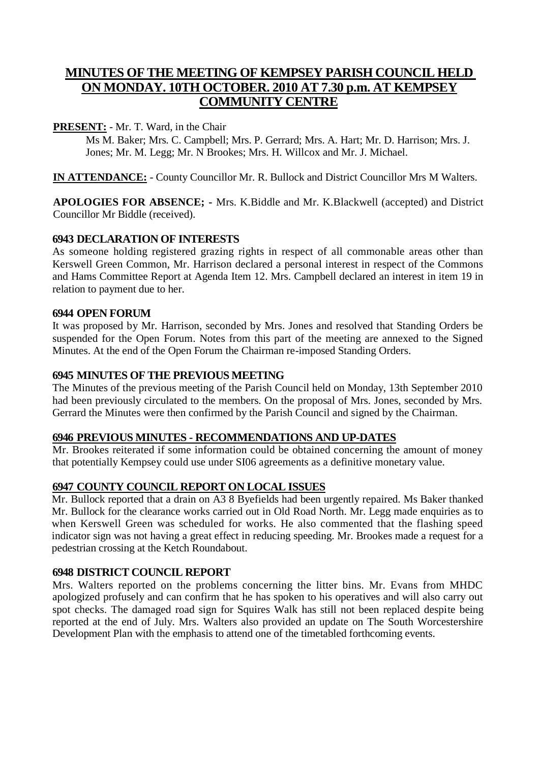# **MINUTES OF THE MEETING OF KEMPSEY PARISH COUNCIL HELD ON MONDAY. 10TH OCTOBER. 2010 AT 7.30 p.m. AT KEMPSEY COMMUNITY CENTRE**

### **PRESENT:** - Mr. T. Ward, in the Chair

Ms M. Baker; Mrs. C. Campbell; Mrs. P. Gerrard; Mrs. A. Hart; Mr. D. Harrison; Mrs. J. Jones; Mr. M. Legg; Mr. N Brookes; Mrs. H. Willcox and Mr. J. Michael.

**IN ATTENDANCE:** - County Councillor Mr. R. Bullock and District Councillor Mrs M Walters.

**APOLOGIES FOR ABSENCE; -** Mrs. K.Biddle and Mr. K.Blackwell (accepted) and District Councillor Mr Biddle (received).

## **6943 DECLARATION OF INTERESTS**

As someone holding registered grazing rights in respect of all commonable areas other than Kerswell Green Common, Mr. Harrison declared a personal interest in respect of the Commons and Hams Committee Report at Agenda Item 12. Mrs. Campbell declared an interest in item 19 in relation to payment due to her.

#### **6944 OPEN FORUM**

It was proposed by Mr. Harrison, seconded by Mrs. Jones and resolved that Standing Orders be suspended for the Open Forum. Notes from this part of the meeting are annexed to the Signed Minutes. At the end of the Open Forum the Chairman re-imposed Standing Orders.

## **6945 MINUTES OF THE PREVIOUS MEETING**

The Minutes of the previous meeting of the Parish Council held on Monday, 13th September 2010 had been previously circulated to the members. On the proposal of Mrs. Jones, seconded by Mrs. Gerrard the Minutes were then confirmed by the Parish Council and signed by the Chairman.

#### **6946 PREVIOUS MINUTES - RECOMMENDATIONS AND UP-DATES**

Mr. Brookes reiterated if some information could be obtained concerning the amount of money that potentially Kempsey could use under SI06 agreements as a definitive monetary value.

#### **6947 COUNTY COUNCIL REPORT ON LOCAL ISSUES**

Mr. Bullock reported that a drain on A3 8 Byefields had been urgently repaired. Ms Baker thanked Mr. Bullock for the clearance works carried out in Old Road North. Mr. Legg made enquiries as to when Kerswell Green was scheduled for works. He also commented that the flashing speed indicator sign was not having a great effect in reducing speeding. Mr. Brookes made a request for a pedestrian crossing at the Ketch Roundabout.

#### **6948 DISTRICT COUNCIL REPORT**

Mrs. Walters reported on the problems concerning the litter bins. Mr. Evans from MHDC apologized profusely and can confirm that he has spoken to his operatives and will also carry out spot checks. The damaged road sign for Squires Walk has still not been replaced despite being reported at the end of July. Mrs. Walters also provided an update on The South Worcestershire Development Plan with the emphasis to attend one of the timetabled forthcoming events.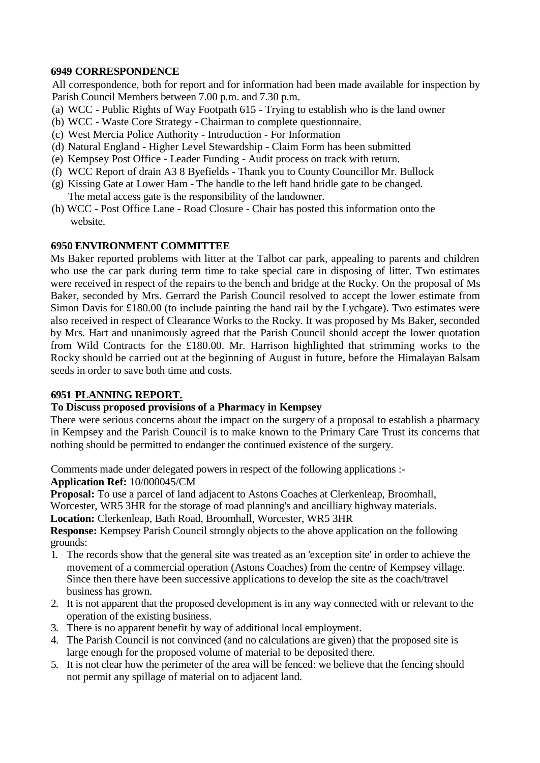### **6949 CORRESPONDENCE**

All correspondence, both for report and for information had been made available for inspection by Parish Council Members between 7.00 p.m. and 7.30 p.m.

- (a) WCC Public Rights of Way Footpath 615 Trying to establish who is the land owner
- (b) WCC Waste Core Strategy Chairman to complete questionnaire.
- (c) West Mercia Police Authority Introduction For Information
- (d) Natural England Higher Level Stewardship Claim Form has been submitted
- (e) Kempsey Post Office Leader Funding Audit process on track with return.
- (f) WCC Report of drain A3 8 Byefields Thank you to County Councillor Mr. Bullock
- (g) Kissing Gate at Lower Ham The handle to the left hand bridle gate to be changed. The metal access gate is the responsibility of the landowner.
- (h) WCC Post Office Lane Road Closure Chair has posted this information onto the website.

#### **6950 ENVIRONMENT COMMITTEE**

Ms Baker reported problems with litter at the Talbot car park, appealing to parents and children who use the car park during term time to take special care in disposing of litter. Two estimates were received in respect of the repairs to the bench and bridge at the Rocky. On the proposal of Ms Baker, seconded by Mrs. Gerrard the Parish Council resolved to accept the lower estimate from Simon Davis for £180.00 (to include painting the hand rail by the Lychgate). Two estimates were also received in respect of Clearance Works to the Rocky. It was proposed by Ms Baker, seconded by Mrs. Hart and unanimously agreed that the Parish Council should accept the lower quotation from Wild Contracts for the £180.00. Mr. Harrison highlighted that strimming works to the Rocky should be carried out at the beginning of August in future, before the Himalayan Balsam seeds in order to save both time and costs.

#### **6951 PLANNING REPORT.**

#### **To Discuss proposed provisions of a Pharmacy in Kempsey**

There were serious concerns about the impact on the surgery of a proposal to establish a pharmacy in Kempsey and the Parish Council is to make known to the Primary Care Trust its concerns that nothing should be permitted to endanger the continued existence of the surgery.

Comments made under delegated powers in respect of the following applications :-

**Application Ref:** 10/000045/CM

**Proposal:** To use a parcel of land adjacent to Astons Coaches at Clerkenleap, Broomhall,

Worcester, WR5 3HR for the storage of road planning's and ancilliary highway materials.

**Location:** Clerkenleap, Bath Road, Broomhall, Worcester, WR5 3HR

**Response:** Kempsey Parish Council strongly objects to the above application on the following grounds:

- 1. The records show that the general site was treated as an 'exception site' in order to achieve the movement of a commercial operation (Astons Coaches) from the centre of Kempsey village. Since then there have been successive applications to develop the site as the coach/travel business has grown.
- 2. It is not apparent that the proposed development is in any way connected with or relevant to the operation of the existing business.
- 3. There is no apparent benefit by way of additional local employment.
- 4. The Parish Council is not convinced (and no calculations are given) that the proposed site is large enough for the proposed volume of material to be deposited there.
- 5. It is not clear how the perimeter of the area will be fenced: we believe that the fencing should not permit any spillage of material on to adjacent land.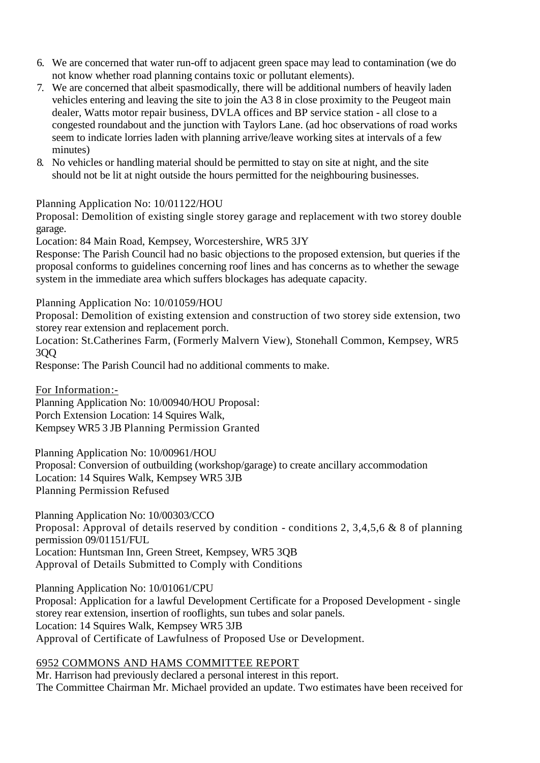- 6. We are concerned that water run-off to adjacent green space may lead to contamination (we do not know whether road planning contains toxic or pollutant elements).
- 7. We are concerned that albeit spasmodically, there will be additional numbers of heavily laden vehicles entering and leaving the site to join the A3 8 in close proximity to the Peugeot main dealer, Watts motor repair business, DVLA offices and BP service station - all close to a congested roundabout and the junction with Taylors Lane. (ad hoc observations of road works seem to indicate lorries laden with planning arrive/leave working sites at intervals of a few minutes)
- 8. No vehicles or handling material should be permitted to stay on site at night, and the site should not be lit at night outside the hours permitted for the neighbouring businesses.

Planning Application No: 10/01122/HOU

Proposal: Demolition of existing single storey garage and replacement with two storey double garage.

Location: 84 Main Road, Kempsey, Worcestershire, WR5 3JY

Response: The Parish Council had no basic objections to the proposed extension, but queries if the proposal conforms to guidelines concerning roof lines and has concerns as to whether the sewage system in the immediate area which suffers blockages has adequate capacity.

Planning Application No: 10/01059/HOU

Proposal: Demolition of existing extension and construction of two storey side extension, two storey rear extension and replacement porch.

Location: St.Catherines Farm, (Formerly Malvern View), Stonehall Common, Kempsey, WR5 3QQ

Response: The Parish Council had no additional comments to make.

For Information:-

Planning Application No: 10/00940/HOU Proposal: Porch Extension Location: 14 Squires Walk, Kempsey WR5 3 JB Planning Permission Granted

Planning Application No: 10/00961/HOU Proposal: Conversion of outbuilding (workshop/garage) to create ancillary accommodation Location: 14 Squires Walk, Kempsey WR5 3JB Planning Permission Refused

Planning Application No: 10/00303/CCO Proposal: Approval of details reserved by condition - conditions 2, 3,4,5,6 & 8 of planning permission 09/01151/FUL Location: Huntsman Inn, Green Street, Kempsey, WR5 3QB Approval of Details Submitted to Comply with Conditions

Planning Application No: 10/01061/CPU

Proposal: Application for a lawful Development Certificate for a Proposed Development - single storey rear extension, insertion of rooflights, sun tubes and solar panels. Location: 14 Squires Walk, Kempsey WR5 3JB Approval of Certificate of Lawfulness of Proposed Use or Development.

#### 6952 COMMONS AND HAMS COMMITTEE REPORT

Mr. Harrison had previously declared a personal interest in this report. The Committee Chairman Mr. Michael provided an update. Two estimates have been received for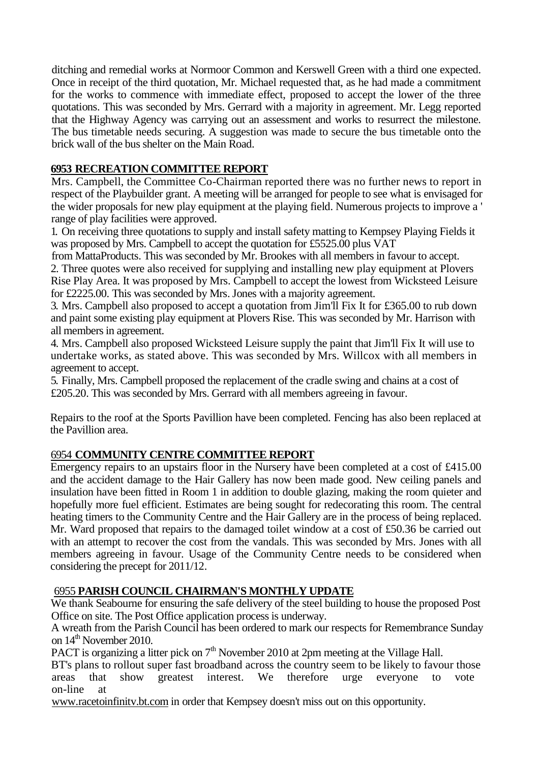ditching and remedial works at Normoor Common and Kerswell Green with a third one expected. Once in receipt of the third quotation, Mr. Michael requested that, as he had made a commitment for the works to commence with immediate effect, proposed to accept the lower of the three quotations. This was seconded by Mrs. Gerrard with a majority in agreement. Mr. Legg reported that the Highway Agency was carrying out an assessment and works to resurrect the milestone. The bus timetable needs securing. A suggestion was made to secure the bus timetable onto the brick wall of the bus shelter on the Main Road.

# **6953 RECREATION COMMITTEE REPORT**

Mrs. Campbell, the Committee Co-Chairman reported there was no further news to report in respect of the Playbuilder grant. A meeting will be arranged for people to see what is envisaged for the wider proposals for new play equipment at the playing field. Numerous projects to improve a ' range of play facilities were approved.

1. On receiving three quotations to supply and install safety matting to Kempsey Playing Fields it was proposed by Mrs. Campbell to accept the quotation for £5525.00 plus VAT

from MattaProducts. This was seconded by Mr. Brookes with all members in favour to accept.

2. Three quotes were also received for supplying and installing new play equipment at Plovers Rise Play Area. It was proposed by Mrs. Campbell to accept the lowest from Wicksteed Leisure for £2225.00. This was seconded by Mrs. Jones with a majority agreement.

3. Mrs. Campbell also proposed to accept a quotation from Jim'll Fix It for £365.00 to rub down and paint some existing play equipment at Plovers Rise. This was seconded by Mr. Harrison with all members in agreement.

4. Mrs. Campbell also proposed Wicksteed Leisure supply the paint that Jim'll Fix It will use to undertake works, as stated above. This was seconded by Mrs. Willcox with all members in agreement to accept.

5. Finally, Mrs. Campbell proposed the replacement of the cradle swing and chains at a cost of £205.20. This was seconded by Mrs. Gerrard with all members agreeing in favour.

Repairs to the roof at the Sports Pavillion have been completed. Fencing has also been replaced at the Pavillion area.

# 6954 **COMMUNITY CENTRE COMMITTEE REPORT**

Emergency repairs to an upstairs floor in the Nursery have been completed at a cost of £415.00 and the accident damage to the Hair Gallery has now been made good. New ceiling panels and insulation have been fitted in Room 1 in addition to double glazing, making the room quieter and hopefully more fuel efficient. Estimates are being sought for redecorating this room. The central heating timers to the Community Centre and the Hair Gallery are in the process of being replaced. Mr. Ward proposed that repairs to the damaged toilet window at a cost of £50.36 be carried out with an attempt to recover the cost from the vandals. This was seconded by Mrs. Jones with all members agreeing in favour. Usage of the Community Centre needs to be considered when considering the precept for 2011/12.

# 6955 **PARISH COUNCIL CHAIRMAN'S MONTHLY UPDATE**

We thank Seabourne for ensuring the safe delivery of the steel building to house the proposed Post Office on site. The Post Office application process is underway.

A wreath from the Parish Council has been ordered to mark our respects for Remembrance Sunday on  $14<sup>th</sup>$  November 2010.

PACT is organizing a litter pick on  $7<sup>th</sup>$  November 2010 at 2pm meeting at the Village Hall.

BT's plans to rollout super fast broadband across the country seem to be likely to favour those areas that show greatest interest. We therefore urge everyone to vote on-line at

www.racetoinfinitv.bt.com in order that Kempsey doesn't miss out on this opportunity.